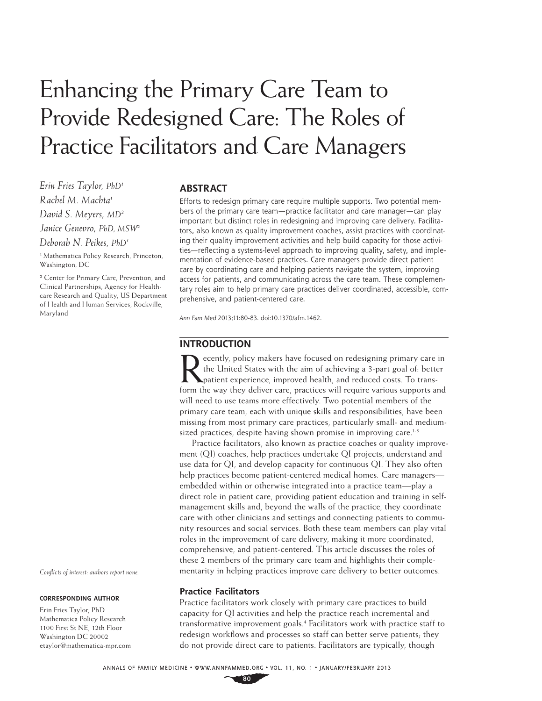# Enhancing the Primary Care Team to Provide Redesigned Care: The Roles of Practice Facilitators and Care Managers

*Erin Fries Taylor, PhD1 Rachel M. Machta1 David S. Meyers, MD2 Janice Genevro, PhD, MSW2 Deborah N. Peikes, PhD1*

**<sup>1</sup>** Mathematica Policy Research, Princeton, Washington, DC

**<sup>2</sup>** Center for Primary Care, Prevention, and Clinical Partnerships, Agency for Healthcare Research and Quality, US Department of Health and Human Services, Rockville, Maryland

*Confl icts of interest: authors report none.*

#### **CORRESPONDING AUTHOR**

Erin Fries Taylor, PhD Mathematica Policy Research 1100 First St NE, 12th Floor Washington DC 20002 etaylor@mathematica-mpr.com

#### **ABSTRACT**

Efforts to redesign primary care require multiple supports. Two potential members of the primary care team—practice facilitator and care manager—can play important but distinct roles in redesigning and improving care delivery. Facilitators, also known as quality improvement coaches, assist practices with coordinating their quality improvement activities and help build capacity for those activities—reflecting a systems-level approach to improving quality, safety, and implementation of evidence-based practices. Care managers provide direct patient care by coordinating care and helping patients navigate the system, improving access for patients, and communicating across the care team. These complementary roles aim to help primary care practices deliver coordinated, accessible, comprehensive, and patient-centered care.

Ann Fam Med 2013;11:80-83. doi:10.1370/afm.1462.

## **INTRODUCTION**

Recently, policy makers have focused on redesigning primary care in<br>the United States with the aim of achieving a 3-part goal of: better<br>patient experience, improved health, and reduced costs. To trans-<br>form the way they d the United States with the aim of achieving a 3-part goal of: better patient experience, improved health, and reduced costs. To transform the way they deliver care, practices will require various supports and will need to use teams more effectively. Two potential members of the primary care team, each with unique skills and responsibilities, have been missing from most primary care practices, particularly small- and mediumsized practices, despite having shown promise in improving care.<sup>1-3</sup>

Practice facilitators, also known as practice coaches or quality improvement (QI) coaches, help practices undertake QI projects, understand and use data for QI, and develop capacity for continuous QI. They also often help practices become patient-centered medical homes. Care managersembedded within or otherwise integrated into a practice team—play a direct role in patient care, providing patient education and training in selfmanagement skills and, beyond the walls of the practice, they coordinate care with other clinicians and settings and connecting patients to community resources and social services. Both these team members can play vital roles in the improvement of care delivery, making it more coordinated, comprehensive, and patient-centered. This article discusses the roles of these 2 members of the primary care team and highlights their complementarity in helping practices improve care delivery to better outcomes.

#### **Practice Facilitators**

Practice facilitators work closely with primary care practices to build capacity for QI activities and help the practice reach incremental and transformative improvement goals.4 Facilitators work with practice staff to redesign workflows and processes so staff can better serve patients; they do not provide direct care to patients. Facilitators are typically, though

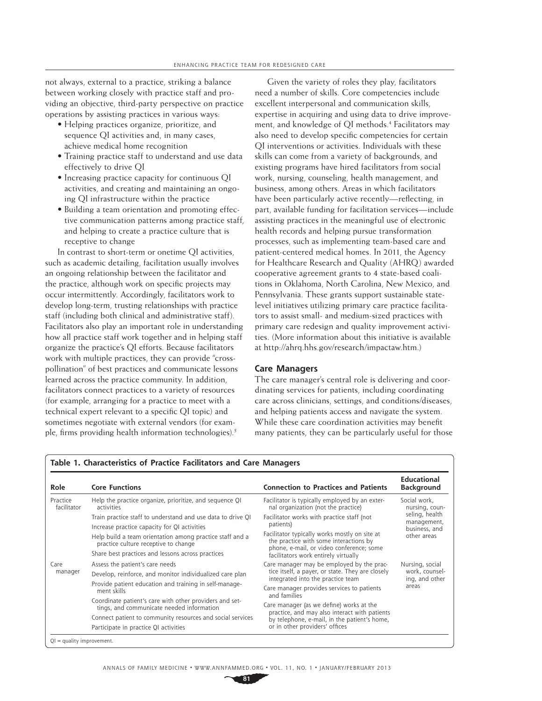not always, external to a practice, striking a balance between working closely with practice staff and providing an objective, third-party perspective on practice operations by assisting practices in various ways:

- Helping practices organize, prioritize, and sequence QI activities and, in many cases, achieve medical home recognition
- Training practice staff to understand and use data effectively to drive QI
- Increasing practice capacity for continuous QI activities, and creating and maintaining an ongoing QI infrastructure within the practice
- Building a team orientation and promoting effective communication patterns among practice staff, and helping to create a practice culture that is receptive to change

In contrast to short-term or onetime QI activities, such as academic detailing, facilitation usually involves an ongoing relationship between the facilitator and the practice, although work on specific projects may occur intermittently. Accordingly, facilitators work to develop long-term, trusting relationships with practice staff (including both clinical and administrative staff). Facilitators also play an important role in understanding how all practice staff work together and in helping staff organize the practice's QI efforts. Because facilitators work with multiple practices, they can provide "crosspollination" of best practices and communicate lessons learned across the practice community. In addition, facilitators connect practices to a variety of resources (for example, arranging for a practice to meet with a technical expert relevant to a specific QI topic) and sometimes negotiate with external vendors (for example, firms providing health information technologies).<sup>5</sup>

Given the variety of roles they play, facilitators need a number of skills. Core competencies include excellent interpersonal and communication skills, expertise in acquiring and using data to drive improvement, and knowledge of QI methods.4 Facilitators may also need to develop specific competencies for certain QI interventions or activities. Individuals with these skills can come from a variety of backgrounds, and existing programs have hired facilitators from social work, nursing, counseling, health management, and business, among others. Areas in which facilitators have been particularly active recently—reflecting, in part, available funding for facilitation services—include assisting practices in the meaningful use of electronic health records and helping pursue transformation processes, such as implementing team-based care and patient-centered medical homes. In 2011, the Agency for Healthcare Research and Quality (AHRQ) awarded cooperative agreement grants to 4 state-based coalitions in Oklahoma, North Carolina, New Mexico, and Pennsylvania. These grants support sustainable statelevel initiatives utilizing primary care practice facilitators to assist small- and medium-sized practices with primary care redesign and quality improvement activities. (More information about this initiative is available at http://ahrq.hhs.gov/research/impactaw.htm.)

#### **Care Managers**

The care manager's central role is delivering and coordinating services for patients, including coordinating care across clinicians, settings, and conditions/diseases, and helping patients access and navigate the system. While these care coordination activities may benefit many patients, they can be particularly useful for those

| Role                    | <b>Core Functions</b>                                                                                | <b>Connection to Practices and Patients</b>                                                                                                                                                                                                                                                                                                                                     | <b>Educational</b><br><b>Background</b>                                                         |
|-------------------------|------------------------------------------------------------------------------------------------------|---------------------------------------------------------------------------------------------------------------------------------------------------------------------------------------------------------------------------------------------------------------------------------------------------------------------------------------------------------------------------------|-------------------------------------------------------------------------------------------------|
| Practice<br>facilitator | Help the practice organize, prioritize, and sequence QI<br>activities                                | Facilitator is typically employed by an exter-<br>nal organization (not the practice)                                                                                                                                                                                                                                                                                           | Social work.<br>nursing, coun-<br>seling, health<br>management,<br>business, and<br>other areas |
|                         | Train practice staff to understand and use data to drive QI                                          | Facilitator works with practice staff (not<br>patients)<br>Facilitator typically works mostly on site at<br>the practice with some interactions by<br>phone, e-mail, or video conference; some<br>facilitators work entirely virtually                                                                                                                                          |                                                                                                 |
|                         | Increase practice capacity for QI activities                                                         |                                                                                                                                                                                                                                                                                                                                                                                 |                                                                                                 |
|                         | Help build a team orientation among practice staff and a<br>practice culture receptive to change     |                                                                                                                                                                                                                                                                                                                                                                                 |                                                                                                 |
|                         | Share best practices and lessons across practices                                                    |                                                                                                                                                                                                                                                                                                                                                                                 |                                                                                                 |
| Care<br>manager         | Assess the patient's care needs                                                                      | Care manager may be employed by the prac-<br>tice itself, a payer, or state. They are closely<br>integrated into the practice team<br>Care manager provides services to patients<br>and families<br>Care manager (as we define) works at the<br>practice, and may also interact with patients<br>by telephone, e-mail, in the patient's home,<br>or in other providers' offices | Nursing, social<br>work, counsel-<br>ing, and other<br>areas                                    |
|                         | Develop, reinforce, and monitor individualized care plan                                             |                                                                                                                                                                                                                                                                                                                                                                                 |                                                                                                 |
|                         | Provide patient education and training in self-manage-                                               |                                                                                                                                                                                                                                                                                                                                                                                 |                                                                                                 |
|                         | ment skills                                                                                          |                                                                                                                                                                                                                                                                                                                                                                                 |                                                                                                 |
|                         | Coordinate patient's care with other providers and set-<br>tings, and communicate needed information |                                                                                                                                                                                                                                                                                                                                                                                 |                                                                                                 |
|                         | Connect patient to community resources and social services                                           |                                                                                                                                                                                                                                                                                                                                                                                 |                                                                                                 |
|                         | Participate in practice QI activities                                                                |                                                                                                                                                                                                                                                                                                                                                                                 |                                                                                                 |

## **Table 1. Characteristics of Practice Facilitators and Care Managers**

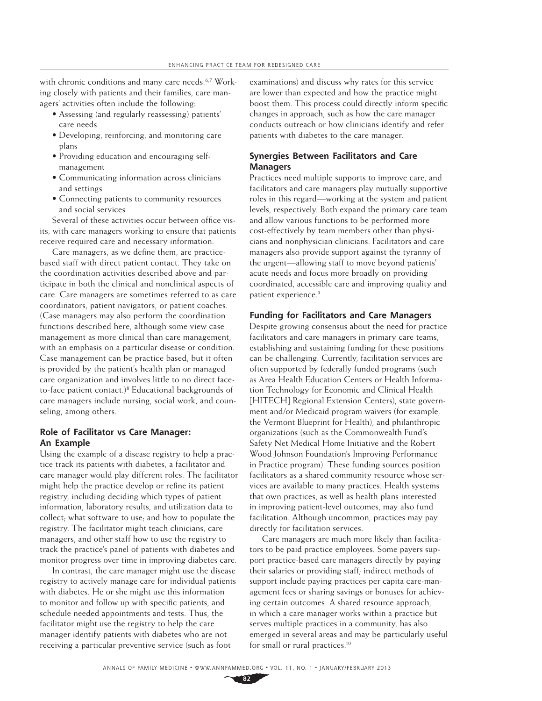with chronic conditions and many care needs.<sup>6,7</sup> Working closely with patients and their families, care managers' activities often include the following:

- Assessing (and regularly reassessing) patients' care needs
- Developing, reinforcing, and monitoring care plans
- Providing education and encouraging selfmanagement
- Communicating information across clinicians and settings
- Connecting patients to community resources and social services

Several of these activities occur between office visits, with care managers working to ensure that patients receive required care and necessary information.

Care managers, as we define them, are practicebased staff with direct patient contact. They take on the coordination activities described above and participate in both the clinical and nonclinical aspects of care. Care managers are sometimes referred to as care coordinators, patient navigators, or patient coaches. (Case managers may also perform the coordination functions described here, although some view case management as more clinical than care management, with an emphasis on a particular disease or condition. Case management can be practice based, but it often is provided by the patient's health plan or managed care organization and involves little to no direct faceto-face patient contact.)8 Educational backgrounds of care managers include nursing, social work, and counseling, among others.

## **Role of Facilitator vs Care Manager: An Example**

Using the example of a disease registry to help a practice track its patients with diabetes, a facilitator and care manager would play different roles. The facilitator might help the practice develop or refine its patient registry, including deciding which types of patient information, laboratory results, and utilization data to collect; what software to use; and how to populate the registry. The facilitator might teach clinicians, care managers, and other staff how to use the registry to track the practice's panel of patients with diabetes and monitor progress over time in improving diabetes care.

In contrast, the care manager might use the disease registry to actively manage care for individual patients with diabetes. He or she might use this information to monitor and follow up with specific patients, and schedule needed appointments and tests. Thus, the facilitator might use the registry to help the care manager identify patients with diabetes who are not receiving a particular preventive service (such as foot

examinations) and discuss why rates for this service are lower than expected and how the practice might boost them. This process could directly inform specific changes in approach, such as how the care manager conducts outreach or how clinicians identify and refer patients with diabetes to the care manager.

## **Synergies Between Facilitators and Care Managers**

Practices need multiple supports to improve care, and facilitators and care managers play mutually supportive roles in this regard—working at the system and patient levels, respectively. Both expand the primary care team and allow various functions to be performed more cost-effectively by team members other than physicians and nonphysician clinicians. Facilitators and care managers also provide support against the tyranny of the urgent—allowing staff to move beyond patients' acute needs and focus more broadly on providing coordinated, accessible care and improving quality and patient experience.<sup>9</sup>

## **Funding for Facilitators and Care Managers**

Despite growing consensus about the need for practice facilitators and care managers in primary care teams, establishing and sustaining funding for these positions can be challenging. Currently, facilitation services are often supported by federally funded programs (such as Area Health Education Centers or Health Information Technology for Economic and Clinical Health [HITECH] Regional Extension Centers), state government and/or Medicaid program waivers (for example, the Vermont Blueprint for Health), and philanthropic organizations (such as the Commonwealth Fund's Safety Net Medical Home Initiative and the Robert Wood Johnson Foundation's Improving Performance in Practice program). These funding sources position facilitators as a shared community resource whose services are available to many practices. Health systems that own practices, as well as health plans interested in improving patient-level outcomes, may also fund facilitation. Although uncommon, practices may pay directly for facilitation services.

Care managers are much more likely than facilitators to be paid practice employees. Some payers support practice-based care managers directly by paying their salaries or providing staff; indirect methods of support include paying practices per capita care-management fees or sharing savings or bonuses for achieving certain outcomes. A shared resource approach, in which a care manager works within a practice but serves multiple practices in a community, has also emerged in several areas and may be particularly useful for small or rural practices.<sup>10</sup>

**82**